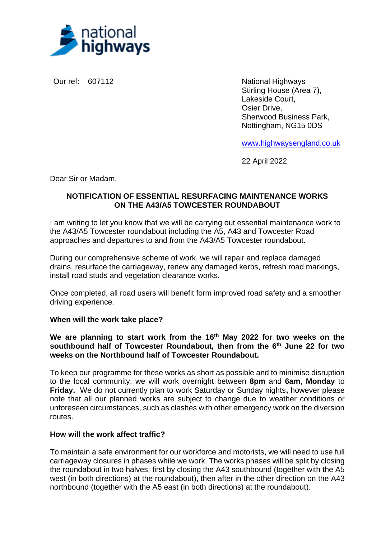

Our ref: 607112 National Highways Stirling House (Area 7), Lakeside Court, Osier Drive, Sherwood Business Park, Nottingham, NG15 0DS

[www.highwaysengland.co.uk](http://www.highwaysengland.co.uk/)

22 April 2022

Dear Sir or Madam,

# **NOTIFICATION OF ESSENTIAL RESURFACING MAINTENANCE WORKS ON THE A43/A5 TOWCESTER ROUNDABOUT**

I am writing to let you know that we will be carrying out essential maintenance work to the A43/A5 Towcester roundabout including the A5, A43 and Towcester Road approaches and departures to and from the A43/A5 Towcester roundabout.

During our comprehensive scheme of work, we will repair and replace damaged drains, resurface the carriageway, renew any damaged kerbs, refresh road markings, install road studs and vegetation clearance works.

Once completed, all road users will benefit form improved road safety and a smoother driving experience.

## **When will the work take place?**

**We are planning to start work from the 16th May 2022 for two weeks on the southbound half of Towcester Roundabout, then from the 6 th June 22 for two weeks on the Northbound half of Towcester Roundabout.**

To keep our programme for these works as short as possible and to minimise disruption to the local community, we will work overnight between **8pm** and **6am**, **Monday** to **Friday.** We do not currently plan to work Saturday or Sunday nights**,** however please note that all our planned works are subject to change due to weather conditions or unforeseen circumstances, such as clashes with other emergency work on the diversion routes.

## **How will the work affect traffic?**

To maintain a safe environment for our workforce and motorists, we will need to use full carriageway closures in phases while we work. The works phases will be split by closing the roundabout in two halves; first by closing the A43 southbound (together with the A5 west (in both directions) at the roundabout), then after in the other direction on the A43 northbound (together with the A5 east (in both directions) at the roundabout).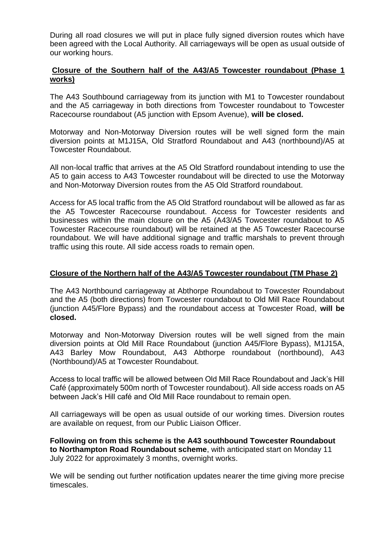During all road closures we will put in place fully signed diversion routes which have been agreed with the Local Authority. All carriageways will be open as usual outside of our working hours.

## **Closure of the Southern half of the A43/A5 Towcester roundabout (Phase 1 works)**

The A43 Southbound carriageway from its junction with M1 to Towcester roundabout and the A5 carriageway in both directions from Towcester roundabout to Towcester Racecourse roundabout (A5 junction with Epsom Avenue), **will be closed.**

Motorway and Non-Motorway Diversion routes will be well signed form the main diversion points at M1J15A, Old Stratford Roundabout and A43 (northbound)/A5 at Towcester Roundabout.

All non-local traffic that arrives at the A5 Old Stratford roundabout intending to use the A5 to gain access to A43 Towcester roundabout will be directed to use the Motorway and Non-Motorway Diversion routes from the A5 Old Stratford roundabout.

Access for A5 local traffic from the A5 Old Stratford roundabout will be allowed as far as the A5 Towcester Racecourse roundabout. Access for Towcester residents and businesses within the main closure on the A5 (A43/A5 Towcester roundabout to A5 Towcester Racecourse roundabout) will be retained at the A5 Towcester Racecourse roundabout. We will have additional signage and traffic marshals to prevent through traffic using this route. All side access roads to remain open.

## **Closure of the Northern half of the A43/A5 Towcester roundabout (TM Phase 2)**

The A43 Northbound carriageway at Abthorpe Roundabout to Towcester Roundabout and the A5 (both directions) from Towcester roundabout to Old Mill Race Roundabout (junction A45/Flore Bypass) and the roundabout access at Towcester Road, **will be closed.** 

Motorway and Non-Motorway Diversion routes will be well signed from the main diversion points at Old Mill Race Roundabout (junction A45/Flore Bypass), M1J15A, A43 Barley Mow Roundabout, A43 Abthorpe roundabout (northbound), A43 (Northbound)/A5 at Towcester Roundabout.

Access to local traffic will be allowed between Old Mill Race Roundabout and Jack's Hill Café (approximately 500m north of Towcester roundabout). All side access roads on A5 between Jack's Hill café and Old Mill Race roundabout to remain open.

All carriageways will be open as usual outside of our working times. Diversion routes are available on request, from our Public Liaison Officer.

**Following on from this scheme is the A43 southbound Towcester Roundabout to Northampton Road Roundabout scheme**, with anticipated start on Monday 11 July 2022 for approximately 3 months, overnight works.

We will be sending out further notification updates nearer the time giving more precise timescales.